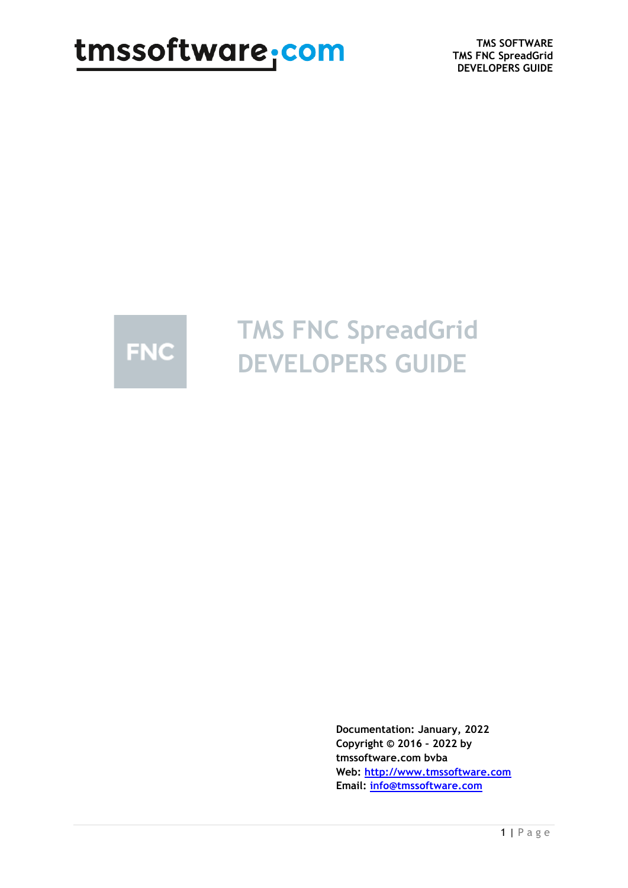### tmssoftware<sub>j</sub>com

**TMS SOFTWARE TMS FNC SpreadGrid DEVELOPERS GUIDE**

# **FNC**

### **TMS FNC SpreadGrid DEVELOPERS GUIDE**

**Documentation: January, 2022 Copyright © 2016 – 2022 by tmssoftware.com bvba Web: [http://www.tmssoftware.com](http://www.tmssoftware.com/) Email: [info@tmssoftware.com](mailto:info@tmssoftware.com)**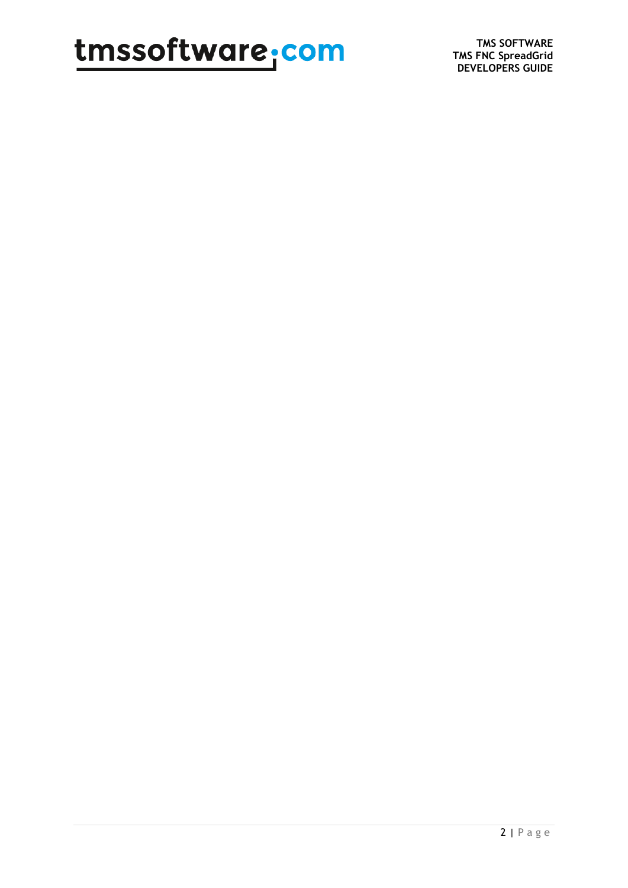**TMS SOFTWARE TMS FNC SpreadGrid DEVELOPERS GUIDE**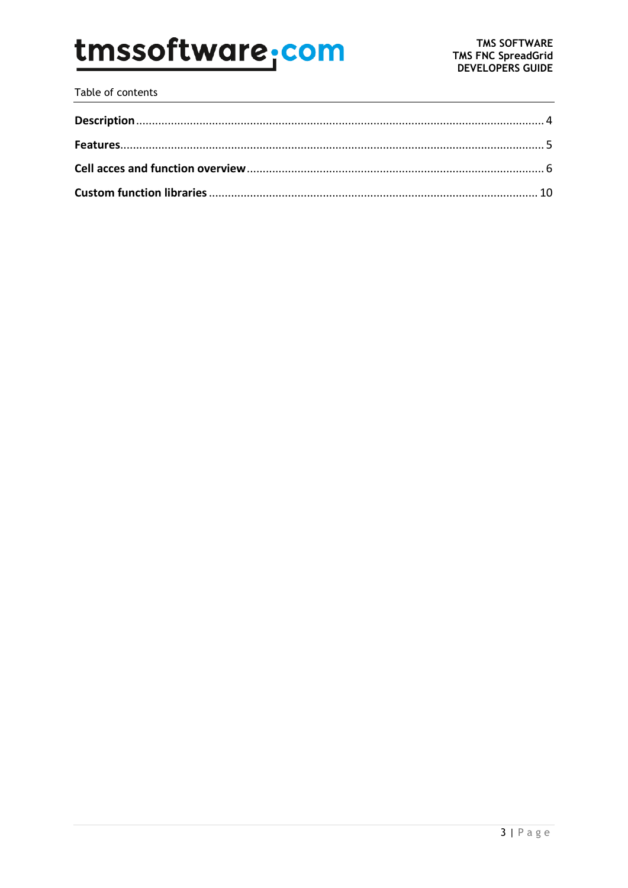# tmssoftware<sub>j</sub>com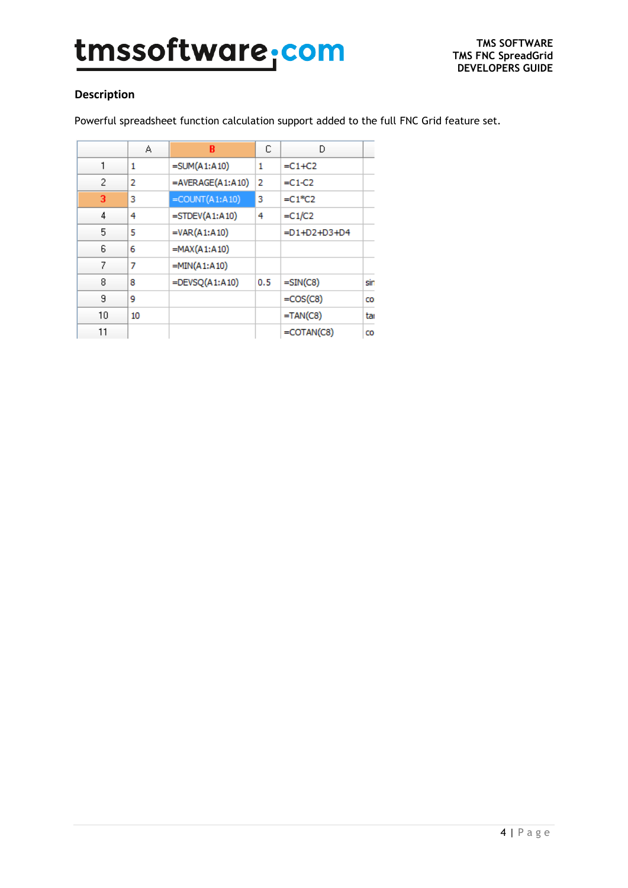# tmssoftware<sub>j</sub>com

#### <span id="page-3-0"></span>**Description**

Powerful spreadsheet function calculation support added to the full FNC Grid feature set.

|    | А  | B                    | С   | D                      |     |
|----|----|----------------------|-----|------------------------|-----|
| 1  | 1  | $=$ SUM $(A1:A10)$   | 1   | $=$ C1+C2              |     |
| 2  | 2  | $=$ AVERAGE(A1:A10)  | 2   | $=$ C1-C2              |     |
| з  | 3  | $=$ COUNT $(A1:A10)$ | 3   | $=$ C1 <sup>*</sup> C2 |     |
| 4  | 4  | $=$ STDEV(A1:A10)    | 4   | $-C1/C2$               |     |
| 5  | 5  | $=$ VAR $(A1:A10)$   |     | $= D1 + D2 + D3 + D4$  |     |
| 6  | 6  | $=MAX(A1:A10)$       |     |                        |     |
| 7  | 7  | $=MIN(A1:A10)$       |     |                        |     |
| 8  | 8  | $=$ DEVSQ(A1:A10)    | 0.5 | $=$ SIN $(C8)$         | sin |
| 9  | 9  |                      |     | $=$ COS $(C8)$         | co  |
| 10 | 10 |                      |     | $=$ TAN $(C8)$         | tar |
| 11 |    |                      |     | $=$ COTAN $(C8)$       | CO  |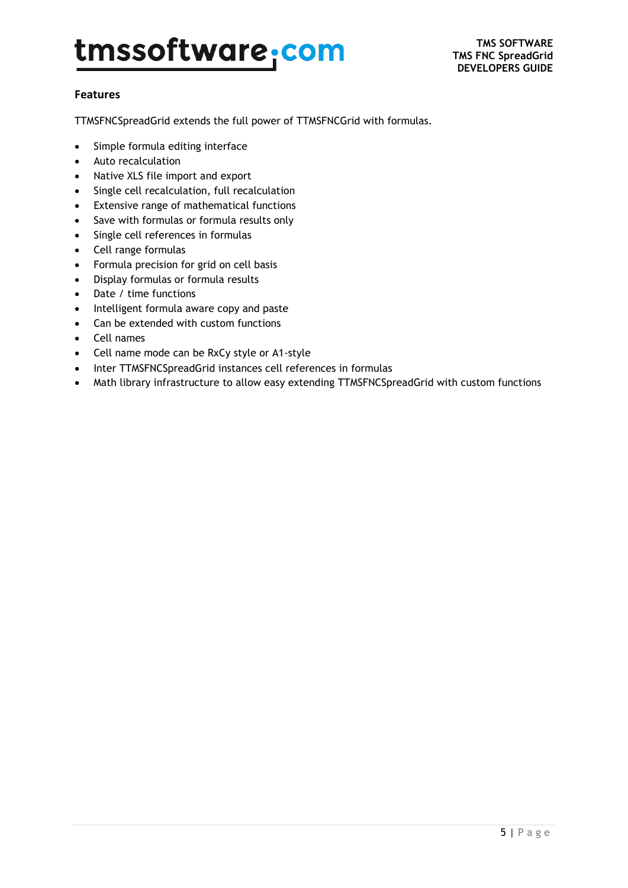#### <span id="page-4-0"></span>**Features**

TTMSFNCSpreadGrid extends the full power of TTMSFNCGrid with formulas.

- Simple formula editing interface
- Auto recalculation
- Native XLS file import and export
- Single cell recalculation, full recalculation
- Extensive range of mathematical functions
- Save with formulas or formula results only
- Single cell references in formulas
- Cell range formulas
- Formula precision for grid on cell basis
- Display formulas or formula results
- Date / time functions
- Intelligent formula aware copy and paste
- Can be extended with custom functions
- Cell names
- Cell name mode can be RxCy style or A1-style
- Inter TTMSFNCSpreadGrid instances cell references in formulas
- Math library infrastructure to allow easy extending TTMSFNCSpreadGrid with custom functions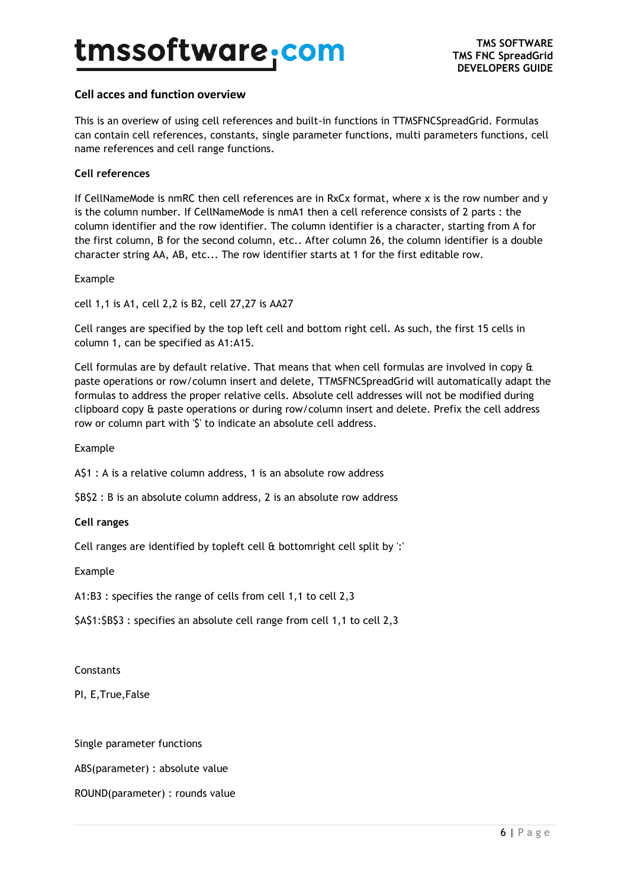### tmssoftware<sub>:</sub>com

#### <span id="page-5-0"></span>**Cell acces and function overview**

This is an overiew of using cell references and built-in functions in TTMSFNCSpreadGrid. Formulas can contain cell references, constants, single parameter functions, multi parameters functions, cell name references and cell range functions.

#### **Cell references**

If CellNameMode is nmRC then cell references are in RxCx format, where x is the row number and y is the column number. If CellNameMode is nmA1 then a cell reference consists of 2 parts : the column identifier and the row identifier. The column identifier is a character, starting from A for the first column, B for the second column, etc.. After column 26, the column identifier is a double character string AA, AB, etc... The row identifier starts at 1 for the first editable row.

#### Example

cell 1,1 is A1, cell 2,2 is B2, cell 27,27 is AA27

Cell ranges are specified by the top left cell and bottom right cell. As such, the first 15 cells in column 1, can be specified as A1:A15.

Cell formulas are by default relative. That means that when cell formulas are involved in copy & paste operations or row/column insert and delete, TTMSFNCSpreadGrid will automatically adapt the formulas to address the proper relative cells. Absolute cell addresses will not be modified during clipboard copy & paste operations or during row/column insert and delete. Prefix the cell address row or column part with '\$' to indicate an absolute cell address.

Example

A\$1 : A is a relative column address, 1 is an absolute row address

\$B\$2 : B is an absolute column address, 2 is an absolute row address

#### **Cell ranges**

Cell ranges are identified by topleft cell & bottomright cell split by ':'

Example

A1:B3 : specifies the range of cells from cell 1,1 to cell 2,3

\$A\$1:\$B\$3 : specifies an absolute cell range from cell 1,1 to cell 2,3

**Constants** 

PI, E,True,False

Single parameter functions

ABS(parameter) : absolute value

ROUND(parameter) : rounds value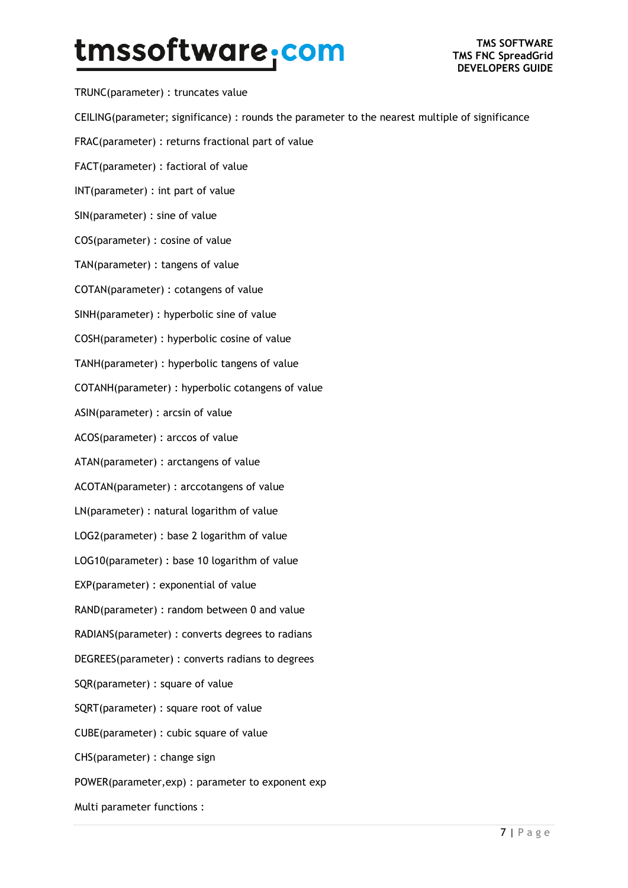### tmssoftware<sub>:</sub>com

TRUNC(parameter) : truncates value CEILING(parameter; significance) : rounds the parameter to the nearest multiple of significance FRAC(parameter) : returns fractional part of value FACT(parameter) : factioral of value INT(parameter) : int part of value SIN(parameter) : sine of value COS(parameter) : cosine of value TAN(parameter) : tangens of value COTAN(parameter) : cotangens of value SINH(parameter) : hyperbolic sine of value COSH(parameter) : hyperbolic cosine of value TANH(parameter) : hyperbolic tangens of value COTANH(parameter) : hyperbolic cotangens of value ASIN(parameter) : arcsin of value ACOS(parameter) : arccos of value ATAN(parameter) : arctangens of value ACOTAN(parameter) : arccotangens of value LN(parameter) : natural logarithm of value LOG2(parameter) : base 2 logarithm of value LOG10(parameter) : base 10 logarithm of value EXP(parameter) : exponential of value RAND(parameter) : random between 0 and value RADIANS(parameter) : converts degrees to radians DEGREES(parameter) : converts radians to degrees SQR(parameter) : square of value SQRT(parameter) : square root of value CUBE(parameter) : cubic square of value CHS(parameter) : change sign POWER(parameter,exp) : parameter to exponent exp Multi parameter functions :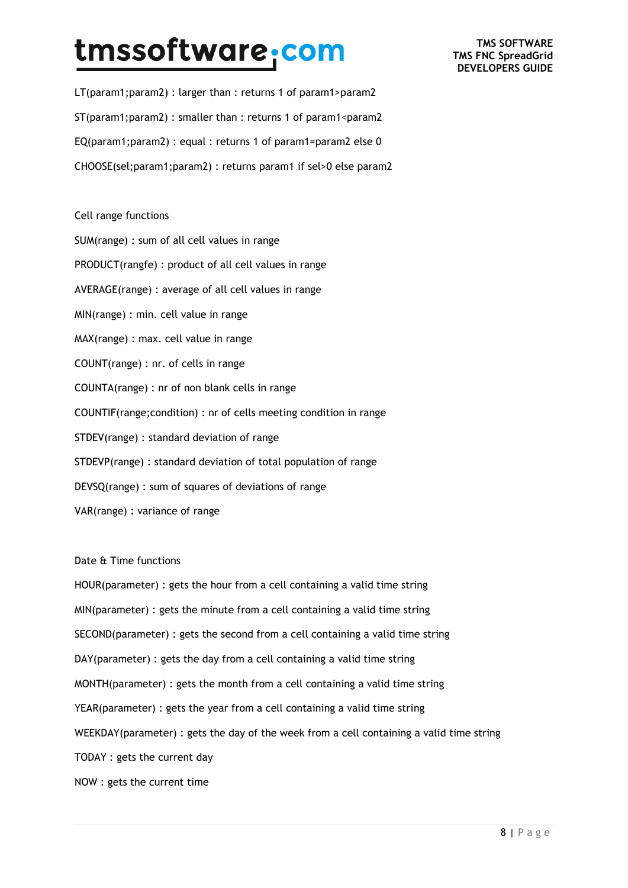### tmssoftware<sub>:</sub>com

LT(param1;param2) : larger than : returns 1 of param1>param2 ST(param1;param2) : smaller than : returns 1 of param1<param2 EQ(param1;param2) : equal : returns 1 of param1=param2 else 0 CHOOSE(sel;param1;param2) : returns param1 if sel>0 else param2

Cell range functions SUM(range) : sum of all cell values in range PRODUCT(rangfe) : product of all cell values in range AVERAGE(range) : average of all cell values in range MIN(range) : min. cell value in range MAX(range) : max. cell value in range COUNT(range) : nr. of cells in range COUNTA(range) : nr of non blank cells in range COUNTIF(range;condition) : nr of cells meeting condition in range STDEV(range) : standard deviation of range STDEVP(range) : standard deviation of total population of range DEVSQ(range) : sum of squares of deviations of range VAR(range) : variance of range

#### Date & Time functions

HOUR(parameter) : gets the hour from a cell containing a valid time string MIN(parameter) : gets the minute from a cell containing a valid time string SECOND(parameter) : gets the second from a cell containing a valid time string DAY(parameter) : gets the day from a cell containing a valid time string MONTH(parameter) : gets the month from a cell containing a valid time string YEAR(parameter) : gets the year from a cell containing a valid time string WEEKDAY(parameter) : gets the day of the week from a cell containing a valid time string TODAY : gets the current day NOW : gets the current time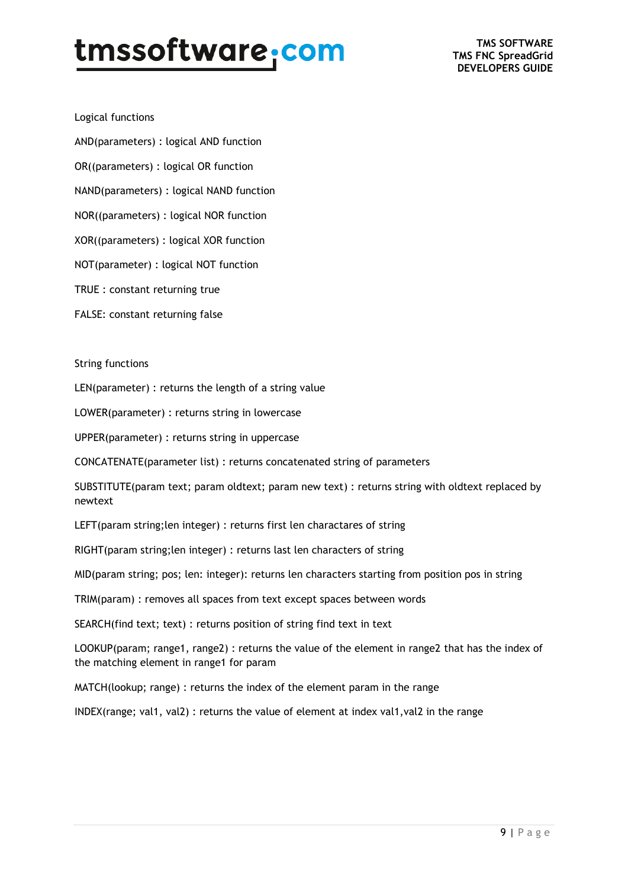Logical functions

AND(parameters) : logical AND function

OR((parameters) : logical OR function

NAND(parameters) : logical NAND function

NOR((parameters) : logical NOR function

XOR((parameters) : logical XOR function

NOT(parameter) : logical NOT function

TRUE : constant returning true

FALSE: constant returning false

String functions

LEN(parameter) : returns the length of a string value

LOWER(parameter) : returns string in lowercase

UPPER(parameter) : returns string in uppercase

CONCATENATE(parameter list) : returns concatenated string of parameters

SUBSTITUTE(param text; param oldtext; param new text) : returns string with oldtext replaced by newtext

LEFT(param string;len integer) : returns first len charactares of string

RIGHT(param string;len integer) : returns last len characters of string

MID(param string; pos; len: integer): returns len characters starting from position pos in string

TRIM(param) : removes all spaces from text except spaces between words

SEARCH(find text; text) : returns position of string find text in text

LOOKUP(param; range1, range2) : returns the value of the element in range2 that has the index of the matching element in range1 for param

MATCH(lookup; range) : returns the index of the element param in the range

INDEX(range; val1, val2) : returns the value of element at index val1,val2 in the range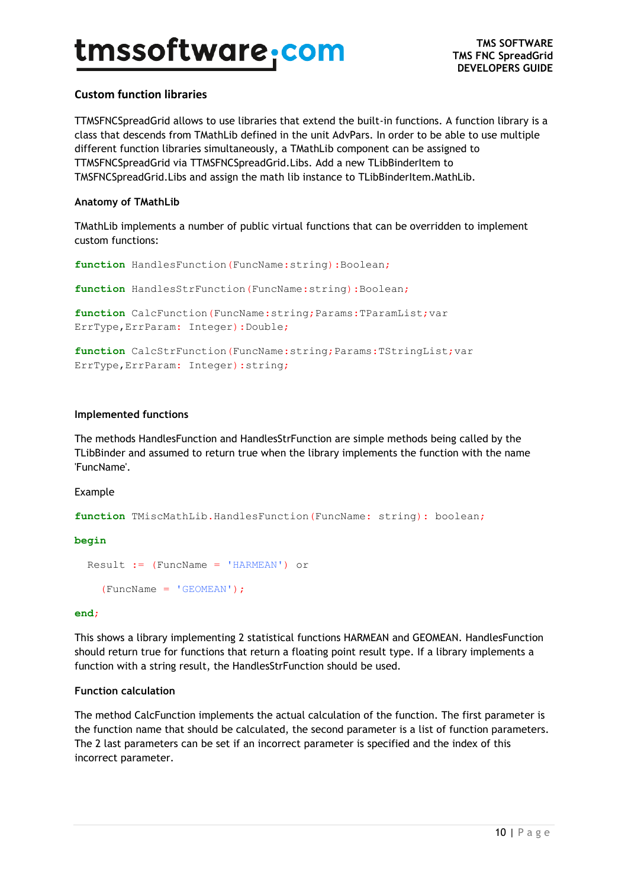### tmssoftware<u>;com</u>

#### <span id="page-9-0"></span>**Custom function libraries**

TTMSFNCSpreadGrid allows to use libraries that extend the built-in functions. A function library is a class that descends from TMathLib defined in the unit AdvPars. In order to be able to use multiple different function libraries simultaneously, a TMathLib component can be assigned to TTMSFNCSpreadGrid via TTMSFNCSpreadGrid.Libs. Add a new TLibBinderItem to TMSFNCSpreadGrid.Libs and assign the math lib instance to TLibBinderItem.MathLib.

#### **Anatomy of TMathLib**

TMathLib implements a number of public virtual functions that can be overridden to implement custom functions:

function HandlesFunction (FuncName: string): Boolean; function HandlesStrFunction (FuncName:string): Boolean; function CalcFunction (FuncName:string; Params: TParamList; var ErrType,ErrParam: Integer):Double; **function** CalcStrFunction(FuncName:string;Params:TStringList;var ErrType,ErrParam: Integer):string;

#### **Implemented functions**

The methods HandlesFunction and HandlesStrFunction are simple methods being called by the TLibBinder and assumed to return true when the library implements the function with the name 'FuncName'.

#### Example

```
function TMiscMathLib.HandlesFunction(FuncName: string): boolean;
```
#### **begin**

```
 Result := (FuncName = 'HARMEAN') or
   (FuncName = 'GEOMEAN');
```
#### **end**;

This shows a library implementing 2 statistical functions HARMEAN and GEOMEAN. HandlesFunction should return true for functions that return a floating point result type. If a library implements a function with a string result, the HandlesStrFunction should be used.

#### **Function calculation**

The method CalcFunction implements the actual calculation of the function. The first parameter is the function name that should be calculated, the second parameter is a list of function parameters. The 2 last parameters can be set if an incorrect parameter is specified and the index of this incorrect parameter.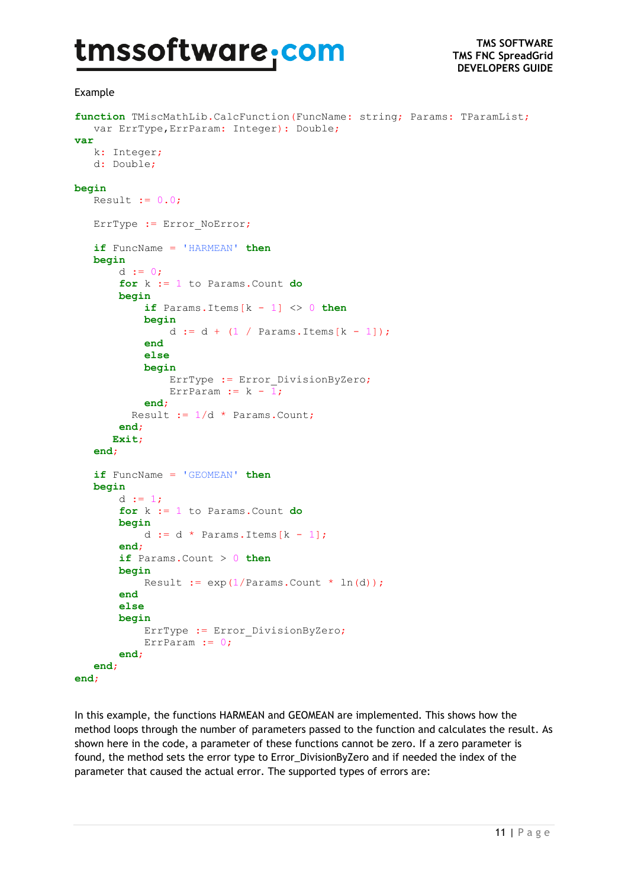#### Example

```
function TMiscMathLib.CalcFunction(FuncName: string; Params: TParamList;
   var ErrType,ErrParam: Integer): Double;
var
    k: Integer;
    d: Double;
begin
   Result := 0.0;ErrType := Error NoError;
    if FuncName = 'HARMEAN' then
    begin
       d := 0; for k := 1 to Params.Count do
        begin
            if Params.Items[k - 1] \iff 0 then
             begin
                d := d + (1 / \text{Parameters.} [k - 1]);
             end
             else
             begin
                ErrType := Error DivisionByZero;
                ErrParam := k - 1; end;
         Result := 1/d * Params. Count;
        end;
       Exit;
    end;
    if FuncName = 'GEOMEAN' then
    begin
       d := 1;
        for k := 1 to Params.Count do
        begin
           d := d * Params. Items [k - 1];
        end;
        if Params.Count > 0 then
        begin
            Result := \exp(1/\text{Parameters.Count} \cdot \ln(d));
        end
        else
        begin
            ErrType := Error DivisionByZero;
             ErrParam := 0;
        end;
    end;
end;
```
In this example, the functions HARMEAN and GEOMEAN are implemented. This shows how the method loops through the number of parameters passed to the function and calculates the result. As shown here in the code, a parameter of these functions cannot be zero. If a zero parameter is found, the method sets the error type to Error\_DivisionByZero and if needed the index of the parameter that caused the actual error. The supported types of errors are: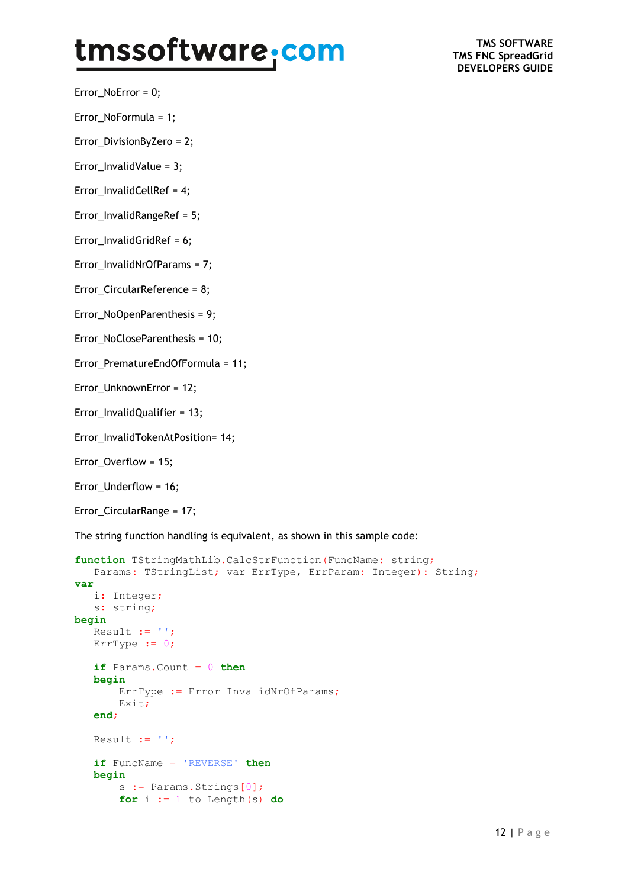Error\_NoError = 0;

Error\_NoFormula = 1;

Error\_DivisionByZero = 2;

- Error\_InvalidValue = 3;
- Error\_InvalidCellRef = 4;

Error\_InvalidRangeRef = 5;

Error\_InvalidGridRef = 6;

Error\_InvalidNrOfParams = 7;

Error\_CircularReference = 8;

Error\_NoOpenParenthesis = 9;

- Error\_NoCloseParenthesis = 10;
- Error\_PrematureEndOfFormula = 11;

Error\_UnknownError = 12;

Error\_InvalidQualifier = 13;

```
Error_InvalidTokenAtPosition= 14;
```
Error\_Overflow = 15;

Error\_Underflow = 16;

```
Error_CircularRange = 17;
```
The string function handling is equivalent, as shown in this sample code:

```
function TStringMathLib.CalcStrFunction(FuncName: string;
   Params: TStringList; var ErrType, ErrParam: Integer): String;
var
    i: Integer;
    s: string;
begin
  Result := ';
   ErrType := 0; if Params.Count = 0 then
    begin
       ErrType := Error InvalidNrOfParams;
        Exit;
    end;
   Result := ';
    if FuncName = 'REVERSE' then
    begin
       s := Params.Strings[0];
        for i := 1 to Length(s) do
```